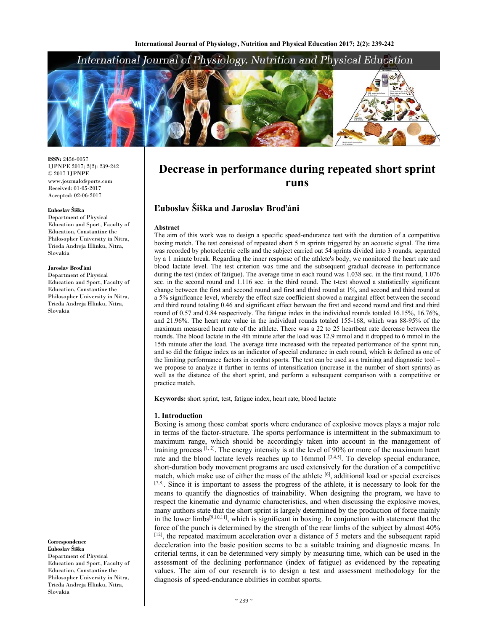# International Journal of Physiology, Nutrition and Physical Education



**ISSN:** 2456-0057 IJPNPE 2017; 2(2): 239-242 © 2017 IJPNPE www.journalofsports.com Received: 01-05-2017 Accepted: 02-06-2017

## **Ľuboslav Šiška**

Department of Physical Education and Sport, Faculty of Education, Constantine the Philosopher University in Nitra, Trieda Andreja Hlinku, Nitra, Slovakia

#### **Jaroslav Broďáni**

Department of Physical Education and Sport, Faculty of Education, Constantine the Philosopher University in Nitra, Trieda Andreja Hlinku, Nitra, Slovakia

**Correspondence Ľuboslav Šiška**  Department of Physical Education and Sport, Faculty of Education, Constantine the Philosopher University in Nitra, Trieda Andreja Hlinku, Nitra, Slovakia

# **Decrease in performance during repeated short sprint runs**

# **Ľuboslav Šiška and Jaroslav Broďáni**

#### **Abstract**

The aim of this work was to design a specific speed-endurance test with the duration of a competitive boxing match. The test consisted of repeated short 5 m sprints triggered by an acoustic signal. The time was recorded by photoelectric cells and the subject carried out 54 sprints divided into 3 rounds, separated by a 1 minute break. Regarding the inner response of the athlete's body, we monitored the heart rate and blood lactate level. The test criterion was time and the subsequent gradual decrease in performance during the test (index of fatigue). The average time in each round was 1.038 sec. in the first round, 1.076 sec. in the second round and 1.116 sec. in the third round. The t-test showed a statistically significant change between the first and second round and first and third round at 1%, and second and third round at a 5% significance level, whereby the effect size coefficient showed a marginal effect between the second and third round totaling 0.46 and significant effect between the first and second round and first and third round of 0.57 and 0.84 respectively. The fatigue index in the individual rounds totaled 16.15%, 16.76%, and 21.96%. The heart rate value in the individual rounds totaled 155-168, which was 88-95% of the maximum measured heart rate of the athlete. There was a 22 to 25 heartbeat rate decrease between the rounds. The blood lactate in the 4th minute after the load was 12.9 mmol and it dropped to 6 mmol in the 15th minute after the load. The average time increased with the repeated performance of the sprint run, and so did the fatigue index as an indicator of special endurance in each round, which is defined as one of the limiting performance factors in combat sports. The test can be used as a training and diagnostic tool – we propose to analyze it further in terms of intensification (increase in the number of short sprints) as well as the distance of the short sprint, and perform a subsequent comparison with a competitive or practice match.

**Keywords***:* short sprint, test, fatigue index, heart rate, blood lactate

#### **1. Introduction**

Boxing is among those combat sports where endurance of explosive moves plays a major role in terms of the factor-structure. The sports performance is intermittent in the submaximum to maximum range, which should be accordingly taken into account in the management of training process [1, 2]. The energy intensity is at the level of 90% or more of the maximum heart rate and the blood lactate levels reaches up to 16mmol  $[3,4,5]$ . To develop special endurance, short-duration body movement programs are used extensively for the duration of a competitive match, which make use of either the mass of the athlete  $\left[6\right]$ , additional load or special exercises [7,8]. Since it is important to assess the progress of the athlete, it is necessary to look for the means to quantify the diagnostics of trainability. When designing the program, we have to respect the kinematic and dynamic characteristics, and when discussing the explosive moves, many authors state that the short sprint is largely determined by the production of force mainly in the lower limbs<sup>[9,10,11]</sup>, which is significant in boxing. In conjunction with statement that the force of the punch is determined by the strength of the rear limbs of the subject by almost 40% [12], the repeated maximum acceleration over a distance of 5 meters and the subsequent rapid deceleration into the basic position seems to be a suitable training and diagnostic means. In criterial terms, it can be determined very simply by measuring time, which can be used in the assessment of the declining performance (index of fatigue) as evidenced by the repeating values. The aim of our research is to design a test and assessment methodology for the diagnosis of speed-endurance abilities in combat sports.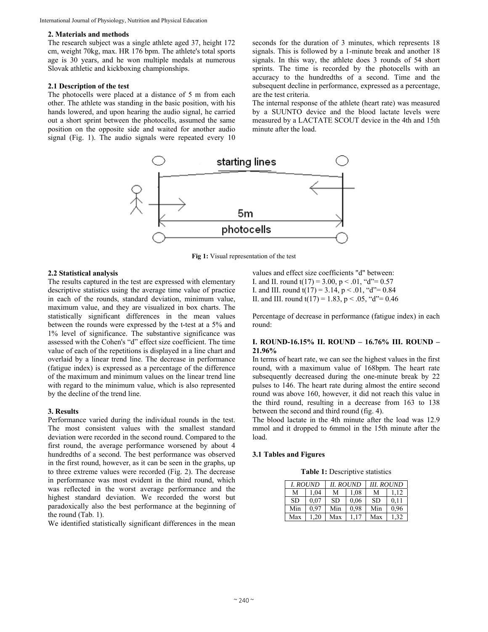## **2. Materials and methods**

The research subject was a single athlete aged 37, height 172 cm, weight 70kg, max. HR 176 bpm. The athlete's total sports age is 30 years, and he won multiple medals at numerous Slovak athletic and kickboxing championships.

#### **2.1 Description of the test**

The photocells were placed at a distance of 5 m from each other. The athlete was standing in the basic position, with his hands lowered, and upon hearing the audio signal, he carried out a short sprint between the photocells, assumed the same position on the opposite side and waited for another audio signal (Fig. 1). The audio signals were repeated every 10

seconds for the duration of 3 minutes, which represents 18 signals. This is followed by a 1-minute break and another 18 signals. In this way, the athlete does 3 rounds of 54 short sprints. The time is recorded by the photocells with an accuracy to the hundredths of a second. Time and the subsequent decline in performance, expressed as a percentage, are the test criteria.

The internal response of the athlete (heart rate) was measured by a SUUNTO device and the blood lactate levels were measured by a LACTATE SCOUT device in the 4th and 15th minute after the load.



**Fig 1:** Visual representation of the test

#### **2.2 Statistical analysis**

The results captured in the test are expressed with elementary descriptive statistics using the average time value of practice in each of the rounds, standard deviation, minimum value, maximum value, and they are visualized in box charts. The statistically significant differences in the mean values between the rounds were expressed by the t-test at a 5% and 1% level of significance. The substantive significance was assessed with the Cohen's "d" effect size coefficient. The time value of each of the repetitions is displayed in a line chart and overlaid by a linear trend line. The decrease in performance (fatigue index) is expressed as a percentage of the difference of the maximum and minimum values on the linear trend line with regard to the minimum value, which is also represented by the decline of the trend line.

#### **3. Results**

Performance varied during the individual rounds in the test. The most consistent values with the smallest standard deviation were recorded in the second round. Compared to the first round, the average performance worsened by about 4 hundredths of a second. The best performance was observed in the first round, however, as it can be seen in the graphs, up to three extreme values were recorded (Fig. 2). The decrease in performance was most evident in the third round, which was reflected in the worst average performance and the highest standard deviation. We recorded the worst but paradoxically also the best performance at the beginning of the round (Tab. 1).

We identified statistically significant differences in the mean

values and effect size coefficients "d" between: I. and II. round  $t(17) = 3.00$ ,  $p < .01$ , "d"= 0.57 I. and III. round  $t(17) = 3.14$ ,  $p < .01$ , "d"= 0.84 II. and III. round  $t(17) = 1.83$ ,  $p < .05$ , "d"= 0.46

Percentage of decrease in performance (fatigue index) in each round:

## **I. ROUND-16.15% II. ROUND – 16.76% III. ROUND – 21.96%**

In terms of heart rate, we can see the highest values in the first round, with a maximum value of 168bpm. The heart rate subsequently decreased during the one-minute break by 22 pulses to 146. The heart rate during almost the entire second round was above 160, however, it did not reach this value in the third round, resulting in a decrease from 163 to 138 between the second and third round (fig. 4).

The blood lactate in the 4th minute after the load was 12.9 mmol and it dropped to 6mmol in the 15th minute after the load.

#### **3.1 Tables and Figures**

**Table 1:** Descriptive statistics

| I. ROUND  |      | <b>II. ROUND</b> |      | <b>III. ROUND</b> |      |
|-----------|------|------------------|------|-------------------|------|
| M         | 1.04 | М                | 1.08 | M                 | 1.12 |
| <b>SD</b> | 0.07 | <b>SD</b>        | 0.06 | <b>SD</b>         | 0.11 |
| Min       | 0.97 | Min              | 0.98 | Min               | 0.96 |
| Max       | 1.20 | Max              | - 17 | Max               | 1.32 |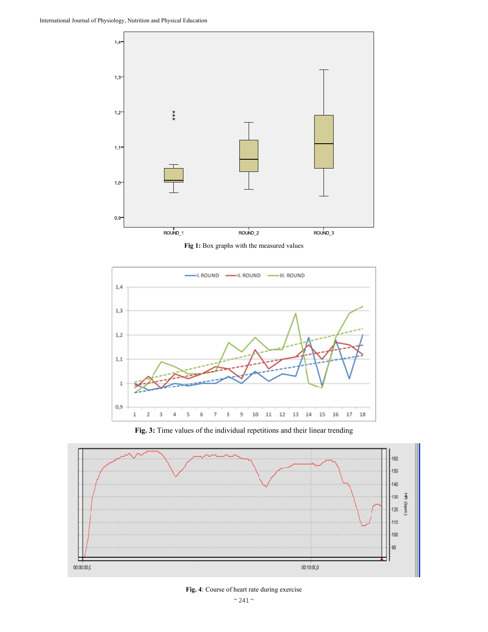

**Fig 1:** Box graphs with the measured values



**Fig. 3:** Time values of the individual repetitions and their linear trending